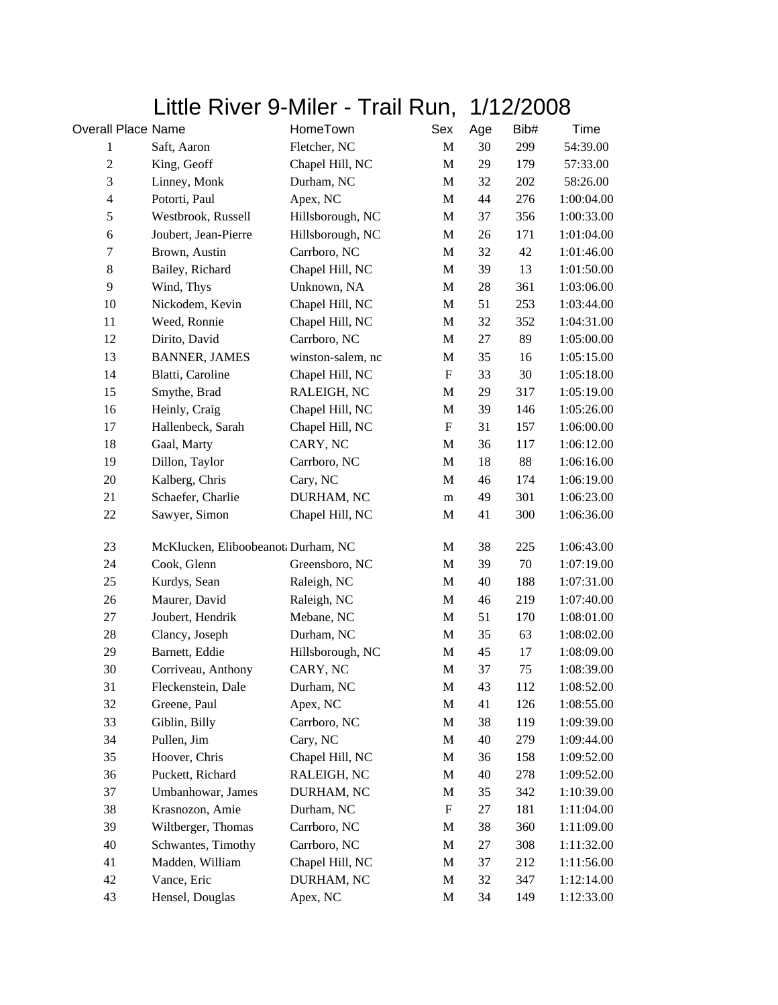## Little River 9-Miler - Trail Run, 1/12/2008

| <b>Overall Place Name</b> |                                     | HomeTown          | Sex                       | Age | Bib#   | Time       |
|---------------------------|-------------------------------------|-------------------|---------------------------|-----|--------|------------|
| 1                         | Saft, Aaron                         | Fletcher, NC      | $\mathbf M$               | 30  | 299    | 54:39.00   |
| $\mathfrak{2}$            | King, Geoff                         | Chapel Hill, NC   | $\mathbf M$               | 29  | 179    | 57:33.00   |
| 3                         | Linney, Monk                        | Durham, NC        | M                         | 32  | 202    | 58:26.00   |
| $\overline{4}$            | Potorti, Paul                       | Apex, NC          | $\mathbf M$               | 44  | 276    | 1:00:04.00 |
| 5                         | Westbrook, Russell                  | Hillsborough, NC  | M                         | 37  | 356    | 1:00:33.00 |
| $\sqrt{6}$                | Joubert, Jean-Pierre                | Hillsborough, NC  | M                         | 26  | 171    | 1:01:04.00 |
| $\tau$                    | Brown, Austin                       | Carrboro, NC      | M                         | 32  | 42     | 1:01:46.00 |
| $\,8\,$                   | Bailey, Richard                     | Chapel Hill, NC   | M                         | 39  | 13     | 1:01:50.00 |
| 9                         | Wind, Thys                          | Unknown, NA       | M                         | 28  | 361    | 1:03:06.00 |
| 10                        | Nickodem, Kevin                     | Chapel Hill, NC   | M                         | 51  | 253    | 1:03:44.00 |
| 11                        | Weed, Ronnie                        | Chapel Hill, NC   | $\mathbf M$               | 32  | 352    | 1:04:31.00 |
| 12                        | Dirito, David                       | Carrboro, NC      | M                         | 27  | 89     | 1:05:00.00 |
| 13                        | <b>BANNER, JAMES</b>                | winston-salem, nc | M                         | 35  | 16     | 1:05:15.00 |
| 14                        | Blatti, Caroline                    | Chapel Hill, NC   | $\boldsymbol{\mathrm{F}}$ | 33  | 30     | 1:05:18.00 |
| 15                        | Smythe, Brad                        | RALEIGH, NC       | M                         | 29  | 317    | 1:05:19.00 |
| 16                        | Heinly, Craig                       | Chapel Hill, NC   | $\mathbf M$               | 39  | 146    | 1:05:26.00 |
| 17                        | Hallenbeck, Sarah                   | Chapel Hill, NC   | ${\bf F}$                 | 31  | 157    | 1:06:00.00 |
| 18                        | Gaal, Marty                         | CARY, NC          | $\mathbf M$               | 36  | 117    | 1:06:12.00 |
| 19                        | Dillon, Taylor                      | Carrboro, NC      | M                         | 18  | 88     | 1:06:16.00 |
| 20                        | Kalberg, Chris                      | Cary, NC          | M                         | 46  | 174    | 1:06:19.00 |
| 21                        | Schaefer, Charlie                   | DURHAM, NC        | m                         | 49  | 301    | 1:06:23.00 |
| 22                        | Sawyer, Simon                       | Chapel Hill, NC   | M                         | 41  | 300    | 1:06:36.00 |
| 23                        | McKlucken, Eliboobeanot: Durham, NC |                   | M                         | 38  | 225    | 1:06:43.00 |
| 24                        | Cook, Glenn                         | Greensboro, NC    | $\mathbf M$               | 39  | $70\,$ | 1:07:19.00 |
| 25                        | Kurdys, Sean                        | Raleigh, NC       | M                         | 40  | 188    | 1:07:31.00 |
| 26                        | Maurer, David                       | Raleigh, NC       | M                         | 46  | 219    | 1:07:40.00 |
| 27                        | Joubert, Hendrik                    | Mebane, NC        | M                         | 51  | 170    | 1:08:01.00 |
| 28                        | Clancy, Joseph                      | Durham, NC        | M                         | 35  | 63     | 1:08:02.00 |
| 29                        | Barnett, Eddie                      | Hillsborough, NC  | M                         | 45  | 17     | 1:08:09.00 |
| 30                        | Corriveau, Anthony                  | CARY, NC          | $\mathbf M$               | 37  | 75     | 1:08:39.00 |
| 31                        | Fleckenstein, Dale                  | Durham, NC        | M                         | 43  | 112    | 1:08:52.00 |
| 32                        | Greene, Paul                        | Apex, NC          | M                         | 41  | 126    | 1:08:55.00 |
| 33                        | Giblin, Billy                       | Carrboro, NC      | M                         | 38  | 119    | 1:09:39.00 |
| 34                        | Pullen, Jim                         | Cary, NC          | M                         | 40  | 279    | 1:09:44.00 |
| 35                        | Hoover, Chris                       | Chapel Hill, NC   | M                         | 36  | 158    | 1:09:52.00 |
| 36                        | Puckett, Richard                    | RALEIGH, NC       | M                         | 40  | 278    | 1:09:52.00 |
| 37                        | Umbanhowar, James                   | DURHAM, NC        | M                         | 35  | 342    | 1:10:39.00 |
| 38                        | Krasnozon, Amie                     | Durham, NC        | $\boldsymbol{\mathrm{F}}$ | 27  | 181    | 1:11:04.00 |
| 39                        | Wiltberger, Thomas                  | Carrboro, NC      | M                         | 38  | 360    | 1:11:09.00 |
| 40                        | Schwantes, Timothy                  | Carrboro, NC      | M                         | 27  | 308    | 1:11:32.00 |
| 41                        | Madden, William                     | Chapel Hill, NC   | M                         | 37  | 212    | 1:11:56.00 |
| 42                        | Vance, Eric                         | DURHAM, NC        | M                         | 32  | 347    | 1:12:14.00 |
| 43                        | Hensel, Douglas                     | Apex, NC          | M                         | 34  | 149    | 1:12:33.00 |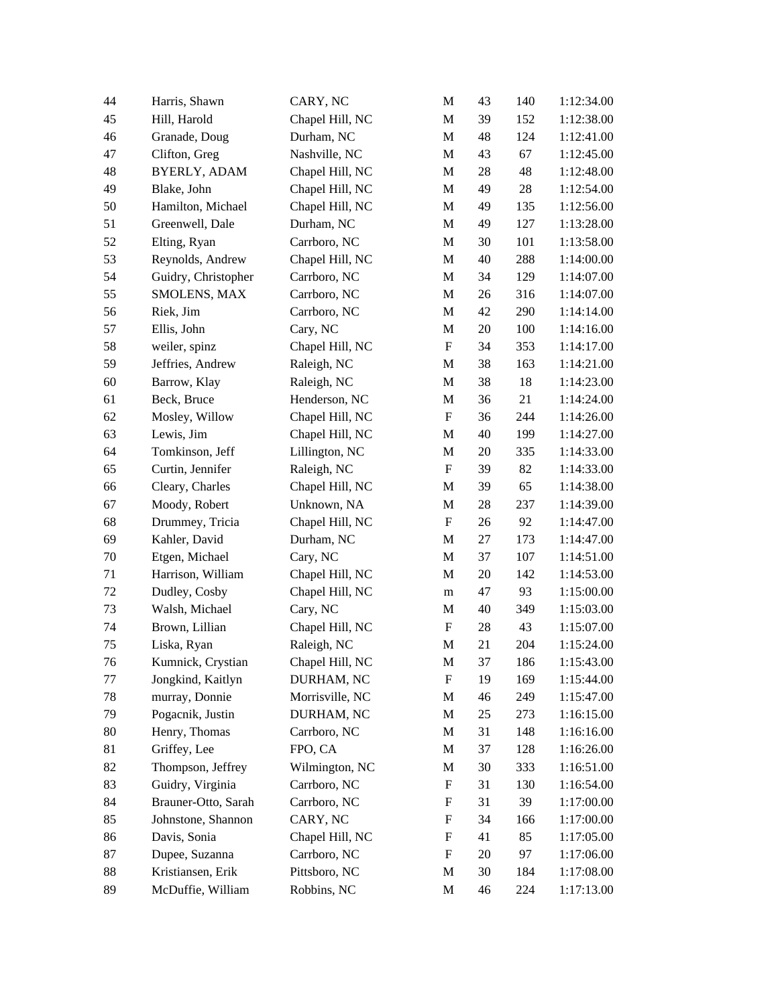| 44     | Harris, Shawn       | CARY, NC        | M                         | 43     | 140 | 1:12:34.00 |
|--------|---------------------|-----------------|---------------------------|--------|-----|------------|
| 45     | Hill, Harold        | Chapel Hill, NC | M                         | 39     | 152 | 1:12:38.00 |
| 46     | Granade, Doug       | Durham, NC      | M                         | 48     | 124 | 1:12:41.00 |
| 47     | Clifton, Greg       | Nashville, NC   | M                         | 43     | 67  | 1:12:45.00 |
| 48     | <b>BYERLY, ADAM</b> | Chapel Hill, NC | $\mathbf M$               | 28     | 48  | 1:12:48.00 |
| 49     | Blake, John         | Chapel Hill, NC | M                         | 49     | 28  | 1:12:54.00 |
| 50     | Hamilton, Michael   | Chapel Hill, NC | M                         | 49     | 135 | 1:12:56.00 |
| 51     | Greenwell, Dale     | Durham, NC      | M                         | 49     | 127 | 1:13:28.00 |
| 52     | Elting, Ryan        | Carrboro, NC    | M                         | 30     | 101 | 1:13:58.00 |
| 53     | Reynolds, Andrew    | Chapel Hill, NC | M                         | 40     | 288 | 1:14:00.00 |
| 54     | Guidry, Christopher | Carrboro, NC    | M                         | 34     | 129 | 1:14:07.00 |
| 55     | SMOLENS, MAX        | Carrboro, NC    | $\mathbf M$               | 26     | 316 | 1:14:07.00 |
| 56     | Riek, Jim           | Carrboro, NC    | M                         | 42     | 290 | 1:14:14.00 |
| 57     | Ellis, John         | Cary, NC        | M                         | $20\,$ | 100 | 1:14:16.00 |
| 58     | weiler, spinz       | Chapel Hill, NC | ${\bf F}$                 | 34     | 353 | 1:14:17.00 |
| 59     | Jeffries, Andrew    | Raleigh, NC     | M                         | 38     | 163 | 1:14:21.00 |
| 60     | Barrow, Klay        | Raleigh, NC     | M                         | 38     | 18  | 1:14:23.00 |
| 61     | Beck, Bruce         | Henderson, NC   | $\mathbf M$               | 36     | 21  | 1:14:24.00 |
| 62     | Mosley, Willow      | Chapel Hill, NC | $\boldsymbol{\mathrm{F}}$ | 36     | 244 | 1:14:26.00 |
| 63     | Lewis, Jim          | Chapel Hill, NC | M                         | 40     | 199 | 1:14:27.00 |
| 64     | Tomkinson, Jeff     | Lillington, NC  | M                         | 20     | 335 | 1:14:33.00 |
| 65     | Curtin, Jennifer    | Raleigh, NC     | F                         | 39     | 82  | 1:14:33.00 |
| 66     | Cleary, Charles     | Chapel Hill, NC | M                         | 39     | 65  | 1:14:38.00 |
| 67     | Moody, Robert       | Unknown, NA     | $\mathbf M$               | 28     | 237 | 1:14:39.00 |
| 68     | Drummey, Tricia     | Chapel Hill, NC | $\boldsymbol{\mathrm{F}}$ | 26     | 92  | 1:14:47.00 |
| 69     | Kahler, David       | Durham, NC      | $\mathbf M$               | 27     | 173 | 1:14:47.00 |
| 70     | Etgen, Michael      | Cary, NC        | $\mathbf M$               | 37     | 107 | 1:14:51.00 |
| 71     | Harrison, William   | Chapel Hill, NC | M                         | 20     | 142 | 1:14:53.00 |
| 72     | Dudley, Cosby       | Chapel Hill, NC | m                         | 47     | 93  | 1:15:00.00 |
| 73     | Walsh, Michael      | Cary, NC        | M                         | 40     | 349 | 1:15:03.00 |
| 74     | Brown, Lillian      | Chapel Hill, NC | $\boldsymbol{\mathrm{F}}$ | $28\,$ | 43  | 1:15:07.00 |
| 75     | Liska, Ryan         | Raleigh, NC     | $\mathbf M$               | 21     | 204 | 1:15:24.00 |
| $76\,$ | Kumnick, Crystian   | Chapel Hill, NC | M                         | 37     | 186 | 1:15:43.00 |
| 77     | Jongkind, Kaitlyn   | DURHAM, NC      | F                         | 19     | 169 | 1:15:44.00 |
| 78     | murray, Donnie      | Morrisville, NC | M                         | 46     | 249 | 1:15:47.00 |
| 79     | Pogacnik, Justin    | DURHAM, NC      | M                         | 25     | 273 | 1:16:15.00 |
| 80     | Henry, Thomas       | Carrboro, NC    | M                         | 31     | 148 | 1:16:16.00 |
| 81     | Griffey, Lee        | FPO, CA         | M                         | 37     | 128 | 1:16:26.00 |
| 82     | Thompson, Jeffrey   | Wilmington, NC  | M                         | 30     | 333 | 1:16:51.00 |
| 83     | Guidry, Virginia    | Carrboro, NC    | $\boldsymbol{\mathrm{F}}$ | 31     | 130 | 1:16:54.00 |
| 84     | Brauner-Otto, Sarah | Carrboro, NC    | F                         | 31     | 39  | 1:17:00.00 |
| 85     | Johnstone, Shannon  | CARY, NC        | F                         | 34     | 166 | 1:17:00.00 |
| 86     | Davis, Sonia        | Chapel Hill, NC | F                         | 41     | 85  | 1:17:05.00 |
| 87     | Dupee, Suzanna      | Carrboro, NC    | F                         | 20     | 97  | 1:17:06.00 |
| 88     | Kristiansen, Erik   | Pittsboro, NC   | M                         | 30     | 184 | 1:17:08.00 |
| 89     | McDuffie, William   | Robbins, NC     | M                         | 46     | 224 | 1:17:13.00 |
|        |                     |                 |                           |        |     |            |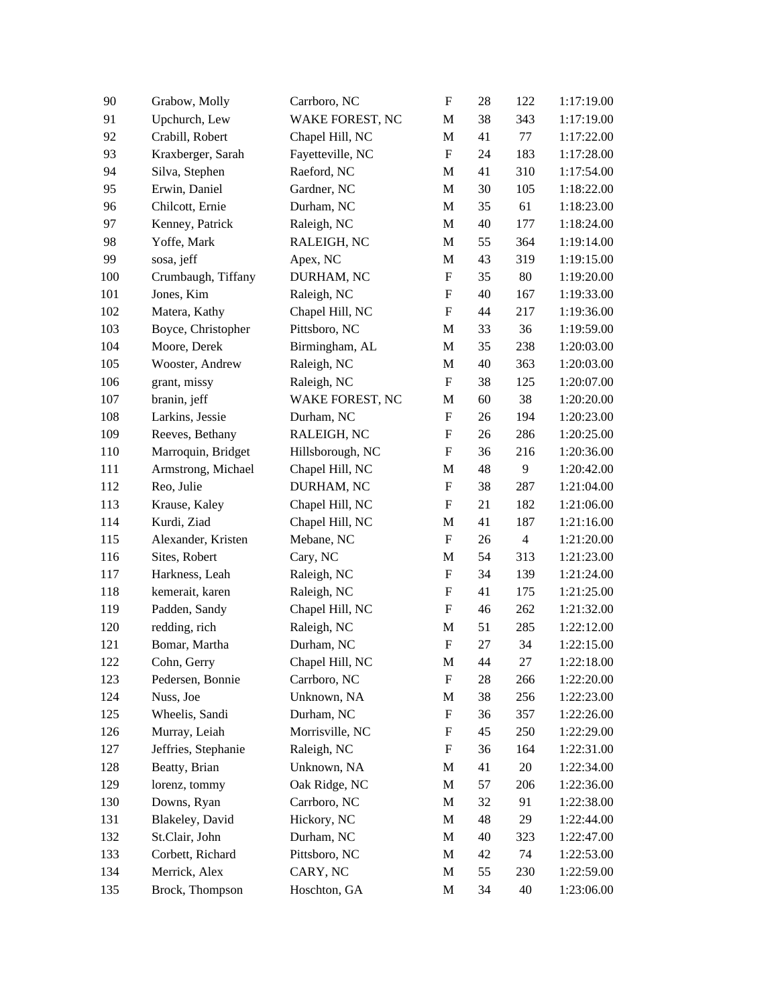| 90  | Grabow, Molly       | Carrboro, NC     | $\boldsymbol{\mathrm{F}}$ | 28 | 122            | 1:17:19.00 |
|-----|---------------------|------------------|---------------------------|----|----------------|------------|
| 91  | Upchurch, Lew       | WAKE FOREST, NC  | M                         | 38 | 343            | 1:17:19.00 |
| 92  | Crabill, Robert     | Chapel Hill, NC  | M                         | 41 | 77             | 1:17:22.00 |
| 93  | Kraxberger, Sarah   | Fayetteville, NC | $\boldsymbol{\mathrm{F}}$ | 24 | 183            | 1:17:28.00 |
| 94  | Silva, Stephen      | Raeford, NC      | M                         | 41 | 310            | 1:17:54.00 |
| 95  | Erwin, Daniel       | Gardner, NC      | $\mathbf M$               | 30 | 105            | 1:18:22.00 |
| 96  | Chilcott, Ernie     | Durham, NC       | $\mathbf M$               | 35 | 61             | 1:18:23.00 |
| 97  | Kenney, Patrick     | Raleigh, NC      | M                         | 40 | 177            | 1:18:24.00 |
| 98  | Yoffe, Mark         | RALEIGH, NC      | M                         | 55 | 364            | 1:19:14.00 |
| 99  | sosa, jeff          | Apex, NC         | M                         | 43 | 319            | 1:19:15.00 |
| 100 | Crumbaugh, Tiffany  | DURHAM, NC       | ${\rm F}$                 | 35 | 80             | 1:19:20.00 |
| 101 | Jones, Kim          | Raleigh, NC      | ${\rm F}$                 | 40 | 167            | 1:19:33.00 |
| 102 | Matera, Kathy       | Chapel Hill, NC  | ${\rm F}$                 | 44 | 217            | 1:19:36.00 |
| 103 | Boyce, Christopher  | Pittsboro, NC    | M                         | 33 | 36             | 1:19:59.00 |
| 104 | Moore, Derek        | Birmingham, AL   | M                         | 35 | 238            | 1:20:03.00 |
| 105 | Wooster, Andrew     | Raleigh, NC      | M                         | 40 | 363            | 1:20:03.00 |
| 106 | grant, missy        | Raleigh, NC      | ${\bf F}$                 | 38 | 125            | 1:20:07.00 |
| 107 | branin, jeff        | WAKE FOREST, NC  | M                         | 60 | 38             | 1:20:20.00 |
| 108 | Larkins, Jessie     | Durham, NC       | $\boldsymbol{\mathrm{F}}$ | 26 | 194            | 1:20:23.00 |
| 109 | Reeves, Bethany     | RALEIGH, NC      | ${\rm F}$                 | 26 | 286            | 1:20:25.00 |
| 110 | Marroquin, Bridget  | Hillsborough, NC | $\boldsymbol{\mathrm{F}}$ | 36 | 216            | 1:20:36.00 |
| 111 | Armstrong, Michael  | Chapel Hill, NC  | M                         | 48 | 9              | 1:20:42.00 |
| 112 | Reo, Julie          | DURHAM, NC       | ${\rm F}$                 | 38 | 287            | 1:21:04.00 |
| 113 | Krause, Kaley       | Chapel Hill, NC  | $\boldsymbol{\mathrm{F}}$ | 21 | 182            | 1:21:06.00 |
| 114 | Kurdi, Ziad         | Chapel Hill, NC  | M                         | 41 | 187            | 1:21:16.00 |
| 115 | Alexander, Kristen  | Mebane, NC       | F                         | 26 | $\overline{4}$ | 1:21:20.00 |
| 116 | Sites, Robert       | Cary, NC         | $\mathbf M$               | 54 | 313            | 1:21:23.00 |
| 117 | Harkness, Leah      | Raleigh, NC      | F                         | 34 | 139            | 1:21:24.00 |
| 118 | kemerait, karen     | Raleigh, NC      | F                         | 41 | 175            | 1:21:25.00 |
| 119 | Padden, Sandy       | Chapel Hill, NC  | $\boldsymbol{\mathrm{F}}$ | 46 | 262            | 1:21:32.00 |
| 120 | redding, rich       | Raleigh, NC      | M                         | 51 | 285            | 1:22:12.00 |
| 121 | Bomar, Martha       | Durham, NC       | ${\rm F}$                 | 27 | 34             | 1:22:15.00 |
| 122 | Cohn, Gerry         | Chapel Hill, NC  | M                         | 44 | 27             | 1:22:18.00 |
| 123 | Pedersen, Bonnie    | Carrboro, NC     | F                         | 28 | 266            | 1:22:20.00 |
| 124 | Nuss, Joe           | Unknown, NA      | M                         | 38 | 256            | 1:22:23.00 |
| 125 | Wheelis, Sandi      | Durham, NC       | F                         | 36 | 357            | 1:22:26.00 |
| 126 | Murray, Leiah       | Morrisville, NC  | F                         | 45 | 250            | 1:22:29.00 |
| 127 | Jeffries, Stephanie | Raleigh, NC      | F                         | 36 | 164            | 1:22:31.00 |
| 128 | Beatty, Brian       | Unknown, NA      | M                         | 41 | 20             | 1:22:34.00 |
| 129 | lorenz, tommy       | Oak Ridge, NC    | M                         | 57 | 206            | 1:22:36.00 |
| 130 | Downs, Ryan         | Carrboro, NC     | M                         | 32 | 91             | 1:22:38.00 |
| 131 | Blakeley, David     | Hickory, NC      | $\mathbf M$               | 48 | 29             | 1:22:44.00 |
| 132 | St.Clair, John      | Durham, NC       | M                         | 40 | 323            | 1:22:47.00 |
| 133 | Corbett, Richard    | Pittsboro, NC    | M                         | 42 | 74             | 1:22:53.00 |
| 134 | Merrick, Alex       | CARY, NC         | M                         | 55 | 230            | 1:22:59.00 |
| 135 | Brock, Thompson     | Hoschton, GA     | M                         | 34 | 40             | 1:23:06.00 |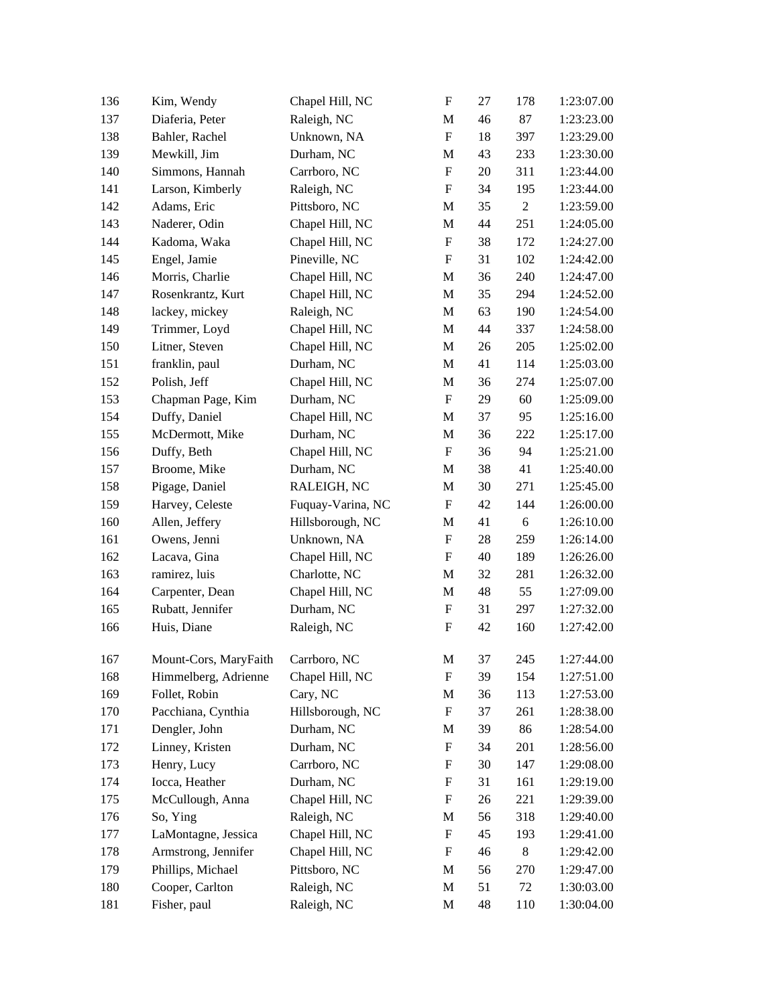| 136 | Kim, Wendy            | Chapel Hill, NC   | ${\bf F}$                 | 27 | 178            | 1:23:07.00 |
|-----|-----------------------|-------------------|---------------------------|----|----------------|------------|
| 137 | Diaferia, Peter       | Raleigh, NC       | M                         | 46 | 87             | 1:23:23.00 |
| 138 | Bahler, Rachel        | Unknown, NA       | $\boldsymbol{\mathrm{F}}$ | 18 | 397            | 1:23:29.00 |
| 139 | Mewkill, Jim          | Durham, NC        | $\mathbf M$               | 43 | 233            | 1:23:30.00 |
| 140 | Simmons, Hannah       | Carrboro, NC      | $\boldsymbol{\mathrm{F}}$ | 20 | 311            | 1:23:44.00 |
| 141 | Larson, Kimberly      | Raleigh, NC       | $\boldsymbol{\mathrm{F}}$ | 34 | 195            | 1:23:44.00 |
| 142 | Adams, Eric           | Pittsboro, NC     | M                         | 35 | $\overline{c}$ | 1:23:59.00 |
| 143 | Naderer, Odin         | Chapel Hill, NC   | M                         | 44 | 251            | 1:24:05.00 |
| 144 | Kadoma, Waka          | Chapel Hill, NC   | $\boldsymbol{\mathrm{F}}$ | 38 | 172            | 1:24:27.00 |
| 145 | Engel, Jamie          | Pineville, NC     | ${\bf F}$                 | 31 | 102            | 1:24:42.00 |
| 146 | Morris, Charlie       | Chapel Hill, NC   | M                         | 36 | 240            | 1:24:47.00 |
| 147 | Rosenkrantz, Kurt     | Chapel Hill, NC   | M                         | 35 | 294            | 1:24:52.00 |
| 148 | lackey, mickey        | Raleigh, NC       | M                         | 63 | 190            | 1:24:54.00 |
| 149 | Trimmer, Loyd         | Chapel Hill, NC   | M                         | 44 | 337            | 1:24:58.00 |
| 150 | Litner, Steven        | Chapel Hill, NC   | M                         | 26 | 205            | 1:25:02.00 |
| 151 | franklin, paul        | Durham, NC        | M                         | 41 | 114            | 1:25:03.00 |
| 152 | Polish, Jeff          | Chapel Hill, NC   | M                         | 36 | 274            | 1:25:07.00 |
| 153 | Chapman Page, Kim     | Durham, NC        | $\boldsymbol{\mathrm{F}}$ | 29 | 60             | 1:25:09.00 |
| 154 | Duffy, Daniel         | Chapel Hill, NC   | M                         | 37 | 95             | 1:25:16.00 |
| 155 | McDermott, Mike       | Durham, NC        | $\mathbf M$               | 36 | 222            | 1:25:17.00 |
| 156 | Duffy, Beth           | Chapel Hill, NC   | $\boldsymbol{\mathrm{F}}$ | 36 | 94             | 1:25:21.00 |
| 157 | Broome, Mike          | Durham, NC        | M                         | 38 | 41             | 1:25:40.00 |
| 158 | Pigage, Daniel        | RALEIGH, NC       | M                         | 30 | 271            | 1:25:45.00 |
| 159 | Harvey, Celeste       | Fuquay-Varina, NC | F                         | 42 | 144            | 1:26:00.00 |
| 160 | Allen, Jeffery        | Hillsborough, NC  | M                         | 41 | 6              | 1:26:10.00 |
| 161 | Owens, Jenni          | Unknown, NA       | ${\bf F}$                 | 28 | 259            | 1:26:14.00 |
| 162 | Lacava, Gina          | Chapel Hill, NC   | ${\bf F}$                 | 40 | 189            | 1:26:26.00 |
| 163 | ramirez, luis         | Charlotte, NC     | M                         | 32 | 281            | 1:26:32.00 |
| 164 | Carpenter, Dean       | Chapel Hill, NC   | M                         | 48 | 55             | 1:27:09.00 |
| 165 | Rubatt, Jennifer      | Durham, NC        | F                         | 31 | 297            | 1:27:32.00 |
| 166 | Huis, Diane           | Raleigh, NC       | ${\bf F}$                 | 42 | 160            | 1:27:42.00 |
| 167 | Mount-Cors, MaryFaith | Carrboro, NC      | M                         | 37 | 245            | 1:27:44.00 |
| 168 | Himmelberg, Adrienne  | Chapel Hill, NC   | F                         | 39 | 154            | 1:27:51.00 |
| 169 | Follet, Robin         | Cary, NC          | M                         | 36 | 113            | 1:27:53.00 |
| 170 | Pacchiana, Cynthia    | Hillsborough, NC  | F                         | 37 | 261            | 1:28:38.00 |
| 171 | Dengler, John         | Durham, NC        | M                         | 39 | 86             | 1:28:54.00 |
| 172 | Linney, Kristen       | Durham, NC        | $\boldsymbol{\mathrm{F}}$ | 34 | 201            | 1:28:56.00 |
| 173 | Henry, Lucy           | Carrboro, NC      | F                         | 30 | 147            | 1:29:08.00 |
| 174 | Iocca, Heather        | Durham, NC        | F                         | 31 | 161            | 1:29:19.00 |
| 175 | McCullough, Anna      | Chapel Hill, NC   | F                         | 26 | 221            | 1:29:39.00 |
| 176 | So, Ying              | Raleigh, NC       | M                         | 56 | 318            | 1:29:40.00 |
| 177 | LaMontagne, Jessica   | Chapel Hill, NC   | $\boldsymbol{\mathrm{F}}$ | 45 | 193            | 1:29:41.00 |
| 178 | Armstrong, Jennifer   | Chapel Hill, NC   | F                         | 46 | $8\,$          | 1:29:42.00 |
| 179 | Phillips, Michael     | Pittsboro, NC     | M                         | 56 | 270            | 1:29:47.00 |
| 180 | Cooper, Carlton       | Raleigh, NC       | M                         | 51 | 72             | 1:30:03.00 |
| 181 | Fisher, paul          | Raleigh, NC       | M                         | 48 | 110            | 1:30:04.00 |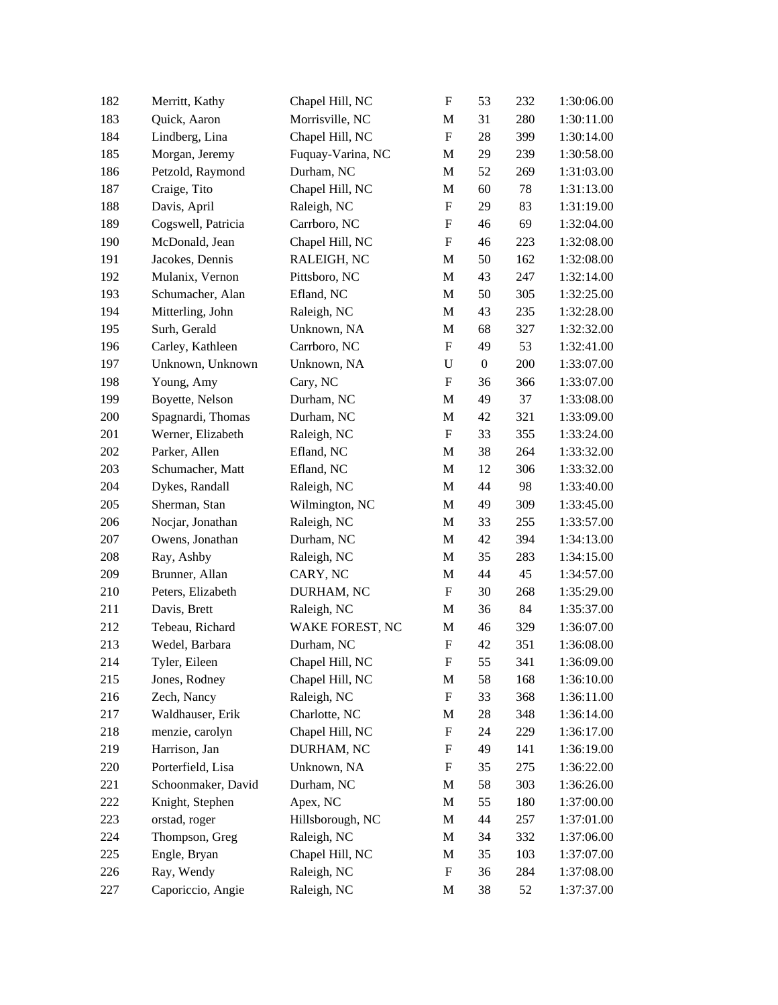| 182 | Merritt, Kathy     | Chapel Hill, NC   | $\boldsymbol{\mathrm{F}}$ | 53               | 232 | 1:30:06.00 |
|-----|--------------------|-------------------|---------------------------|------------------|-----|------------|
| 183 | Quick, Aaron       | Morrisville, NC   | M                         | 31               | 280 | 1:30:11.00 |
| 184 | Lindberg, Lina     | Chapel Hill, NC   | ${\bf F}$                 | 28               | 399 | 1:30:14.00 |
| 185 | Morgan, Jeremy     | Fuquay-Varina, NC | M                         | 29               | 239 | 1:30:58.00 |
| 186 | Petzold, Raymond   | Durham, NC        | M                         | 52               | 269 | 1:31:03.00 |
| 187 | Craige, Tito       | Chapel Hill, NC   | M                         | 60               | 78  | 1:31:13.00 |
| 188 | Davis, April       | Raleigh, NC       | $\boldsymbol{\mathrm{F}}$ | 29               | 83  | 1:31:19.00 |
| 189 | Cogswell, Patricia | Carrboro, NC      | $\boldsymbol{\mathrm{F}}$ | 46               | 69  | 1:32:04.00 |
| 190 | McDonald, Jean     | Chapel Hill, NC   | $\boldsymbol{\mathrm{F}}$ | 46               | 223 | 1:32:08.00 |
| 191 | Jacokes, Dennis    | RALEIGH, NC       | M                         | 50               | 162 | 1:32:08.00 |
| 192 | Mulanix, Vernon    | Pittsboro, NC     | M                         | 43               | 247 | 1:32:14.00 |
| 193 | Schumacher, Alan   | Efland, NC        | M                         | 50               | 305 | 1:32:25.00 |
| 194 | Mitterling, John   | Raleigh, NC       | M                         | 43               | 235 | 1:32:28.00 |
| 195 | Surh, Gerald       | Unknown, NA       | M                         | 68               | 327 | 1:32:32.00 |
| 196 | Carley, Kathleen   | Carrboro, NC      | ${\bf F}$                 | 49               | 53  | 1:32:41.00 |
| 197 | Unknown, Unknown   | Unknown, NA       | $\mathbf U$               | $\boldsymbol{0}$ | 200 | 1:33:07.00 |
| 198 | Young, Amy         | Cary, NC          | $\boldsymbol{\mathrm{F}}$ | 36               | 366 | 1:33:07.00 |
| 199 | Boyette, Nelson    | Durham, NC        | M                         | 49               | 37  | 1:33:08.00 |
| 200 | Spagnardi, Thomas  | Durham, NC        | M                         | 42               | 321 | 1:33:09.00 |
| 201 | Werner, Elizabeth  | Raleigh, NC       | $\boldsymbol{\mathrm{F}}$ | 33               | 355 | 1:33:24.00 |
| 202 | Parker, Allen      | Efland, NC        | M                         | 38               | 264 | 1:33:32.00 |
| 203 | Schumacher, Matt   | Efland, NC        | M                         | 12               | 306 | 1:33:32.00 |
| 204 | Dykes, Randall     | Raleigh, NC       | M                         | 44               | 98  | 1:33:40.00 |
| 205 | Sherman, Stan      | Wilmington, NC    | M                         | 49               | 309 | 1:33:45.00 |
| 206 | Nocjar, Jonathan   | Raleigh, NC       | M                         | 33               | 255 | 1:33:57.00 |
| 207 | Owens, Jonathan    | Durham, NC        | M                         | 42               | 394 | 1:34:13.00 |
| 208 | Ray, Ashby         | Raleigh, NC       | M                         | 35               | 283 | 1:34:15.00 |
| 209 | Brunner, Allan     | CARY, NC          | M                         | 44               | 45  | 1:34:57.00 |
| 210 | Peters, Elizabeth  | DURHAM, NC        | ${\bf F}$                 | 30               | 268 | 1:35:29.00 |
| 211 | Davis, Brett       | Raleigh, NC       | M                         | 36               | 84  | 1:35:37.00 |
| 212 | Tebeau, Richard    | WAKE FOREST, NC   | M                         | 46               | 329 | 1:36:07.00 |
| 213 | Wedel, Barbara     | Durham, NC        | $\boldsymbol{\mathrm{F}}$ | 42               | 351 | 1:36:08.00 |
| 214 | Tyler, Eileen      | Chapel Hill, NC   | F                         | 55               | 341 | 1:36:09.00 |
| 215 | Jones, Rodney      | Chapel Hill, NC   | M                         | 58               | 168 | 1:36:10.00 |
| 216 | Zech, Nancy        | Raleigh, NC       | $\boldsymbol{F}$          | 33               | 368 | 1:36:11.00 |
| 217 | Waldhauser, Erik   | Charlotte, NC     | M                         | 28               | 348 | 1:36:14.00 |
| 218 | menzie, carolyn    | Chapel Hill, NC   | $\boldsymbol{\mathrm{F}}$ | 24               | 229 | 1:36:17.00 |
| 219 | Harrison, Jan      | DURHAM, NC        | F                         | 49               | 141 | 1:36:19.00 |
| 220 | Porterfield, Lisa  | Unknown, NA       | F                         | 35               | 275 | 1:36:22.00 |
| 221 | Schoonmaker, David | Durham, NC        | M                         | 58               | 303 | 1:36:26.00 |
| 222 | Knight, Stephen    | Apex, NC          | M                         | 55               | 180 | 1:37:00.00 |
| 223 | orstad, roger      | Hillsborough, NC  | M                         | 44               | 257 | 1:37:01.00 |
| 224 | Thompson, Greg     | Raleigh, NC       | M                         | 34               | 332 | 1:37:06.00 |
| 225 | Engle, Bryan       | Chapel Hill, NC   | M                         | 35               | 103 | 1:37:07.00 |
| 226 | Ray, Wendy         | Raleigh, NC       | F                         | 36               | 284 | 1:37:08.00 |
| 227 | Caporiccio, Angie  | Raleigh, NC       | M                         | 38               | 52  | 1:37:37.00 |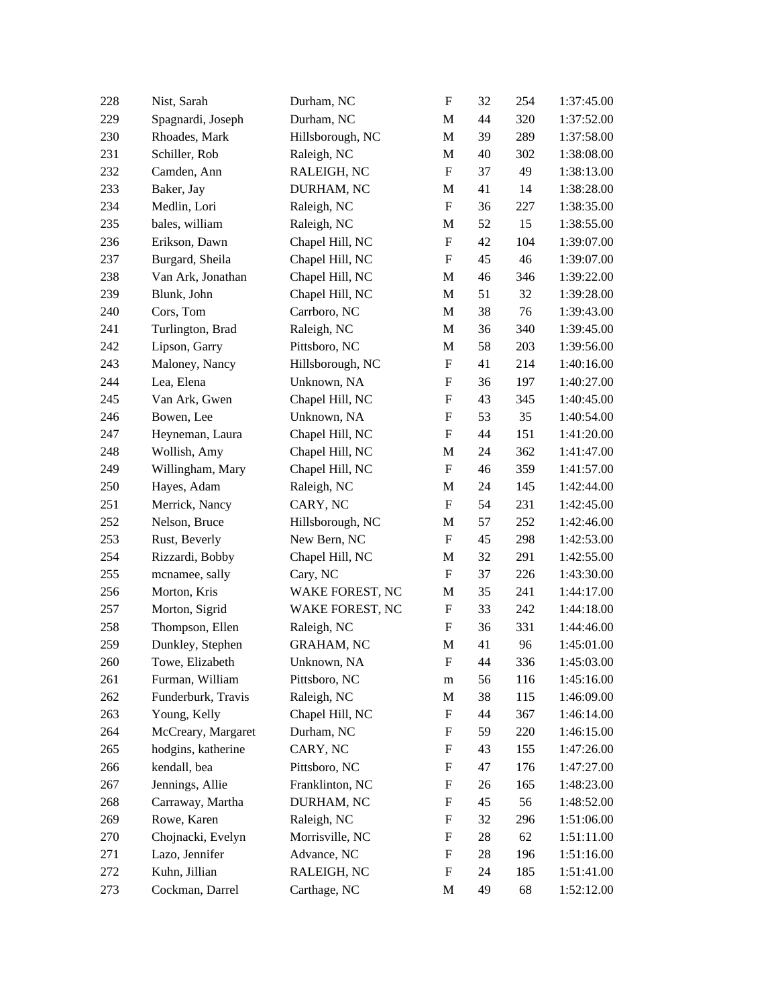| 228 | Nist, Sarah        | Durham, NC        | $\boldsymbol{\mathrm{F}}$ | 32 | 254 | 1:37:45.00 |
|-----|--------------------|-------------------|---------------------------|----|-----|------------|
| 229 | Spagnardi, Joseph  | Durham, NC        | M                         | 44 | 320 | 1:37:52.00 |
| 230 | Rhoades, Mark      | Hillsborough, NC  | M                         | 39 | 289 | 1:37:58.00 |
| 231 | Schiller, Rob      | Raleigh, NC       | M                         | 40 | 302 | 1:38:08.00 |
| 232 | Camden, Ann        | RALEIGH, NC       | $\boldsymbol{\mathrm{F}}$ | 37 | 49  | 1:38:13.00 |
| 233 | Baker, Jay         | DURHAM, NC        | M                         | 41 | 14  | 1:38:28.00 |
| 234 | Medlin, Lori       | Raleigh, NC       | ${\bf F}$                 | 36 | 227 | 1:38:35.00 |
| 235 | bales, william     | Raleigh, NC       | M                         | 52 | 15  | 1:38:55.00 |
| 236 | Erikson, Dawn      | Chapel Hill, NC   | ${\bf F}$                 | 42 | 104 | 1:39:07.00 |
| 237 | Burgard, Sheila    | Chapel Hill, NC   | $\boldsymbol{\mathrm{F}}$ | 45 | 46  | 1:39:07.00 |
| 238 | Van Ark, Jonathan  | Chapel Hill, NC   | M                         | 46 | 346 | 1:39:22.00 |
| 239 | Blunk, John        | Chapel Hill, NC   | M                         | 51 | 32  | 1:39:28.00 |
| 240 | Cors, Tom          | Carrboro, NC      | M                         | 38 | 76  | 1:39:43.00 |
| 241 | Turlington, Brad   | Raleigh, NC       | M                         | 36 | 340 | 1:39:45.00 |
| 242 | Lipson, Garry      | Pittsboro, NC     | M                         | 58 | 203 | 1:39:56.00 |
| 243 | Maloney, Nancy     | Hillsborough, NC  | ${\bf F}$                 | 41 | 214 | 1:40:16.00 |
| 244 | Lea, Elena         | Unknown, NA       | F                         | 36 | 197 | 1:40:27.00 |
| 245 | Van Ark, Gwen      | Chapel Hill, NC   | F                         | 43 | 345 | 1:40:45.00 |
| 246 | Bowen, Lee         | Unknown, NA       | $\boldsymbol{\mathrm{F}}$ | 53 | 35  | 1:40:54.00 |
| 247 | Heyneman, Laura    | Chapel Hill, NC   | $\boldsymbol{\mathrm{F}}$ | 44 | 151 | 1:41:20.00 |
| 248 | Wollish, Amy       | Chapel Hill, NC   | M                         | 24 | 362 | 1:41:47.00 |
| 249 | Willingham, Mary   | Chapel Hill, NC   | ${\bf F}$                 | 46 | 359 | 1:41:57.00 |
| 250 | Hayes, Adam        | Raleigh, NC       | M                         | 24 | 145 | 1:42:44.00 |
| 251 | Merrick, Nancy     | CARY, NC          | ${\bf F}$                 | 54 | 231 | 1:42:45.00 |
| 252 | Nelson, Bruce      | Hillsborough, NC  | M                         | 57 | 252 | 1:42:46.00 |
| 253 | Rust, Beverly      | New Bern, NC      | F                         | 45 | 298 | 1:42:53.00 |
| 254 | Rizzardi, Bobby    | Chapel Hill, NC   | M                         | 32 | 291 | 1:42:55.00 |
| 255 | mcnamee, sally     | Cary, NC          | ${\bf F}$                 | 37 | 226 | 1:43:30.00 |
| 256 | Morton, Kris       | WAKE FOREST, NC   | M                         | 35 | 241 | 1:44:17.00 |
| 257 | Morton, Sigrid     | WAKE FOREST, NC   | $\boldsymbol{\mathrm{F}}$ | 33 | 242 | 1:44:18.00 |
| 258 | Thompson, Ellen    | Raleigh, NC       | $\boldsymbol{\mathrm{F}}$ | 36 | 331 | 1:44:46.00 |
| 259 | Dunkley, Stephen   | <b>GRAHAM, NC</b> | $\mathbf M$               | 41 | 96  | 1:45:01.00 |
| 260 | Towe, Elizabeth    | Unknown, NA       | F                         | 44 | 336 | 1:45:03.00 |
| 261 | Furman, William    | Pittsboro, NC     | m                         | 56 | 116 | 1:45:16.00 |
| 262 | Funderburk, Travis | Raleigh, NC       | M                         | 38 | 115 | 1:46:09.00 |
| 263 | Young, Kelly       | Chapel Hill, NC   | F                         | 44 | 367 | 1:46:14.00 |
| 264 | McCreary, Margaret | Durham, NC        | F                         | 59 | 220 | 1:46:15.00 |
| 265 | hodgins, katherine | CARY, NC          | F                         | 43 | 155 | 1:47:26.00 |
| 266 | kendall, bea       | Pittsboro, NC     | F                         | 47 | 176 | 1:47:27.00 |
| 267 | Jennings, Allie    | Franklinton, NC   | F                         | 26 | 165 | 1:48:23.00 |
| 268 | Carraway, Martha   | DURHAM, NC        | $\boldsymbol{F}$          | 45 | 56  | 1:48:52.00 |
| 269 | Rowe, Karen        | Raleigh, NC       | F                         | 32 | 296 | 1:51:06.00 |
| 270 | Chojnacki, Evelyn  | Morrisville, NC   | F                         | 28 | 62  | 1:51:11.00 |
| 271 | Lazo, Jennifer     | Advance, NC       | F                         | 28 | 196 | 1:51:16.00 |
| 272 | Kuhn, Jillian      | RALEIGH, NC       | F                         | 24 | 185 | 1:51:41.00 |
| 273 | Cockman, Darrel    | Carthage, NC      | M                         | 49 | 68  | 1:52:12.00 |